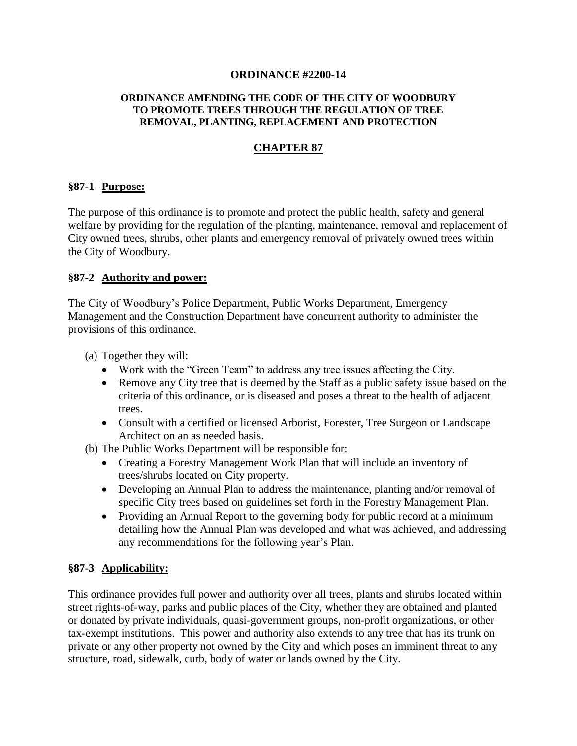#### **ORDINANCE #2200-14**

#### **ORDINANCE AMENDING THE CODE OF THE CITY OF WOODBURY TO PROMOTE TREES THROUGH THE REGULATION OF TREE REMOVAL, PLANTING, REPLACEMENT AND PROTECTION**

## **CHAPTER 87**

#### **§87-1 Purpose:**

The purpose of this ordinance is to promote and protect the public health, safety and general welfare by providing for the regulation of the planting, maintenance, removal and replacement of City owned trees, shrubs, other plants and emergency removal of privately owned trees within the City of Woodbury.

### **§87-2 Authority and power:**

The City of Woodbury's Police Department, Public Works Department, Emergency Management and the Construction Department have concurrent authority to administer the provisions of this ordinance.

(a) Together they will:

- Work with the "Green Team" to address any tree issues affecting the City.
- Remove any City tree that is deemed by the Staff as a public safety issue based on the criteria of this ordinance, or is diseased and poses a threat to the health of adjacent trees.
- Consult with a certified or licensed Arborist, Forester, Tree Surgeon or Landscape Architect on an as needed basis.
- (b) The Public Works Department will be responsible for:
	- Creating a Forestry Management Work Plan that will include an inventory of trees/shrubs located on City property.
	- Developing an Annual Plan to address the maintenance, planting and/or removal of specific City trees based on guidelines set forth in the Forestry Management Plan.
	- Providing an Annual Report to the governing body for public record at a minimum detailing how the Annual Plan was developed and what was achieved, and addressing any recommendations for the following year's Plan.

## **§87-3 Applicability:**

This ordinance provides full power and authority over all trees, plants and shrubs located within street rights-of-way, parks and public places of the City, whether they are obtained and planted or donated by private individuals, quasi-government groups, non-profit organizations, or other tax-exempt institutions. This power and authority also extends to any tree that has its trunk on private or any other property not owned by the City and which poses an imminent threat to any structure, road, sidewalk, curb, body of water or lands owned by the City.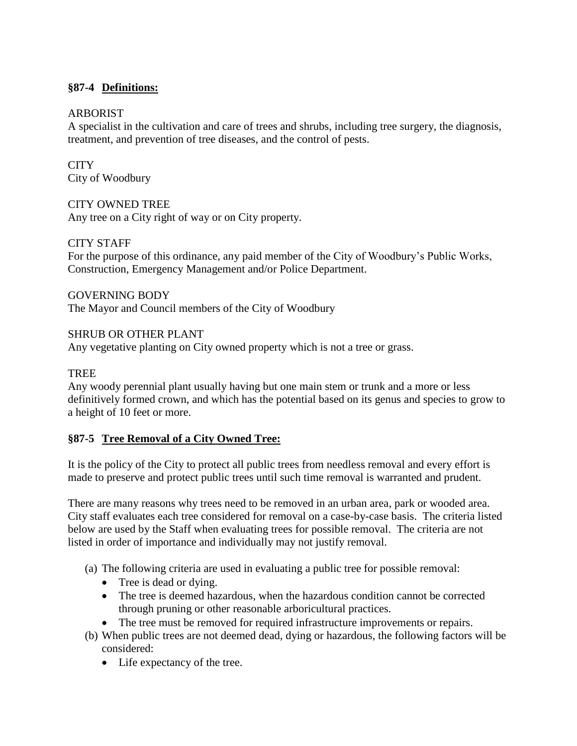## **§87-4 Definitions:**

#### ARBORIST

A specialist in the cultivation and care of trees and shrubs, including tree surgery, the diagnosis, treatment, and prevention of tree diseases, and the control of pests.

**CITY** City of Woodbury

### CITY OWNED TREE

Any tree on a City right of way or on City property.

### CITY STAFF

For the purpose of this ordinance, any paid member of the City of Woodbury's Public Works, Construction, Emergency Management and/or Police Department.

### GOVERNING BODY

The Mayor and Council members of the City of Woodbury

### SHRUB OR OTHER PLANT

Any vegetative planting on City owned property which is not a tree or grass.

#### TREE

Any woody perennial plant usually having but one main stem or trunk and a more or less definitively formed crown, and which has the potential based on its genus and species to grow to a height of 10 feet or more.

## **§87-5 Tree Removal of a City Owned Tree:**

It is the policy of the City to protect all public trees from needless removal and every effort is made to preserve and protect public trees until such time removal is warranted and prudent.

There are many reasons why trees need to be removed in an urban area, park or wooded area. City staff evaluates each tree considered for removal on a case-by-case basis. The criteria listed below are used by the Staff when evaluating trees for possible removal. The criteria are not listed in order of importance and individually may not justify removal.

(a) The following criteria are used in evaluating a public tree for possible removal:

- Tree is dead or dying.
- The tree is deemed hazardous, when the hazardous condition cannot be corrected through pruning or other reasonable arboricultural practices.
- The tree must be removed for required infrastructure improvements or repairs.
- (b) When public trees are not deemed dead, dying or hazardous, the following factors will be considered:
	- Life expectancy of the tree.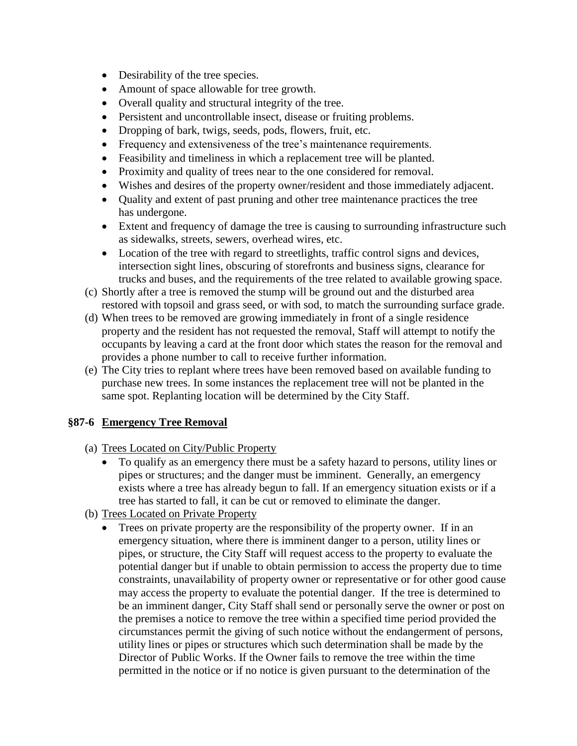- Desirability of the tree species.
- Amount of space allowable for tree growth.
- Overall quality and structural integrity of the tree.
- Persistent and uncontrollable insect, disease or fruiting problems.
- Dropping of bark, twigs, seeds, pods, flowers, fruit, etc.
- Frequency and extensiveness of the tree's maintenance requirements.
- Feasibility and timeliness in which a replacement tree will be planted.
- Proximity and quality of trees near to the one considered for removal.
- Wishes and desires of the property owner/resident and those immediately adjacent.
- Quality and extent of past pruning and other tree maintenance practices the tree has undergone.
- Extent and frequency of damage the tree is causing to surrounding infrastructure such as sidewalks, streets, sewers, overhead wires, etc.
- Location of the tree with regard to streetlights, traffic control signs and devices, intersection sight lines, obscuring of storefronts and business signs, clearance for trucks and buses, and the requirements of the tree related to available growing space.
- (c) Shortly after a tree is removed the stump will be ground out and the disturbed area restored with topsoil and grass seed, or with sod, to match the surrounding surface grade.
- (d) When trees to be removed are growing immediately in front of a single residence property and the resident has not requested the removal, Staff will attempt to notify the occupants by leaving a card at the front door which states the reason for the removal and provides a phone number to call to receive further information.
- (e) The City tries to replant where trees have been removed based on available funding to purchase new trees. In some instances the replacement tree will not be planted in the same spot. Replanting location will be determined by the City Staff.

# **§87-6 Emergency Tree Removal**

- (a) Trees Located on City/Public Property
	- To qualify as an emergency there must be a safety hazard to persons, utility lines or pipes or structures; and the danger must be imminent. Generally, an emergency exists where a tree has already begun to fall. If an emergency situation exists or if a tree has started to fall, it can be cut or removed to eliminate the danger.
- (b) Trees Located on Private Property
	- Trees on private property are the responsibility of the property owner. If in an emergency situation, where there is imminent danger to a person, utility lines or pipes, or structure, the City Staff will request access to the property to evaluate the potential danger but if unable to obtain permission to access the property due to time constraints, unavailability of property owner or representative or for other good cause may access the property to evaluate the potential danger. If the tree is determined to be an imminent danger, City Staff shall send or personally serve the owner or post on the premises a notice to remove the tree within a specified time period provided the circumstances permit the giving of such notice without the endangerment of persons, utility lines or pipes or structures which such determination shall be made by the Director of Public Works. If the Owner fails to remove the tree within the time permitted in the notice or if no notice is given pursuant to the determination of the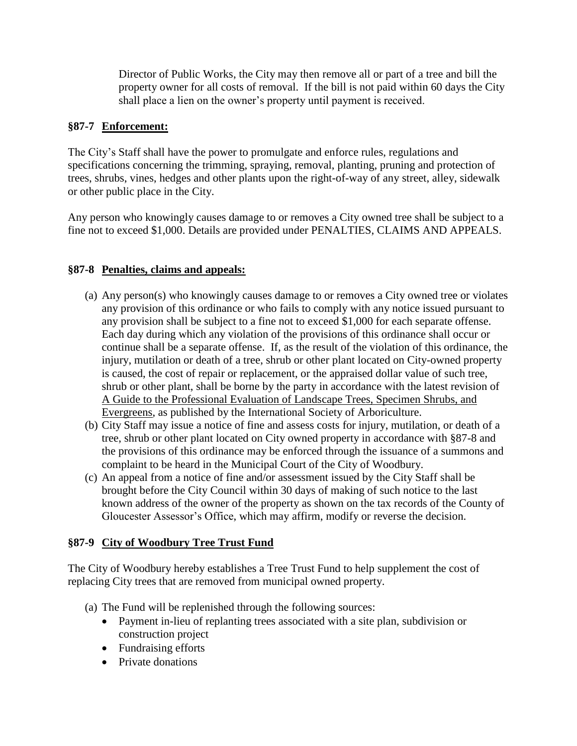Director of Public Works, the City may then remove all or part of a tree and bill the property owner for all costs of removal. If the bill is not paid within 60 days the City shall place a lien on the owner's property until payment is received.

# **§87-7 Enforcement:**

The City's Staff shall have the power to promulgate and enforce rules, regulations and specifications concerning the trimming, spraying, removal, planting, pruning and protection of trees, shrubs, vines, hedges and other plants upon the right-of-way of any street, alley, sidewalk or other public place in the City.

Any person who knowingly causes damage to or removes a City owned tree shall be subject to a fine not to exceed \$1,000. Details are provided under PENALTIES, CLAIMS AND APPEALS.

# **§87-8 Penalties, claims and appeals:**

- (a) Any person(s) who knowingly causes damage to or removes a City owned tree or violates any provision of this ordinance or who fails to comply with any notice issued pursuant to any provision shall be subject to a fine not to exceed \$1,000 for each separate offense. Each day during which any violation of the provisions of this ordinance shall occur or continue shall be a separate offense. If, as the result of the violation of this ordinance, the injury, mutilation or death of a tree, shrub or other plant located on City-owned property is caused, the cost of repair or replacement, or the appraised dollar value of such tree, shrub or other plant, shall be borne by the party in accordance with the latest revision of A Guide to the Professional Evaluation of Landscape Trees, Specimen Shrubs, and Evergreens, as published by the International Society of Arboriculture.
- (b) City Staff may issue a notice of fine and assess costs for injury, mutilation, or death of a tree, shrub or other plant located on City owned property in accordance with §87-8 and the provisions of this ordinance may be enforced through the issuance of a summons and complaint to be heard in the Municipal Court of the City of Woodbury.
- (c) An appeal from a notice of fine and/or assessment issued by the City Staff shall be brought before the City Council within 30 days of making of such notice to the last known address of the owner of the property as shown on the tax records of the County of Gloucester Assessor's Office, which may affirm, modify or reverse the decision.

# **§87-9 City of Woodbury Tree Trust Fund**

The City of Woodbury hereby establishes a Tree Trust Fund to help supplement the cost of replacing City trees that are removed from municipal owned property.

- (a) The Fund will be replenished through the following sources:
	- Payment in-lieu of replanting trees associated with a site plan, subdivision or construction project
	- Fundraising efforts
	- Private donations